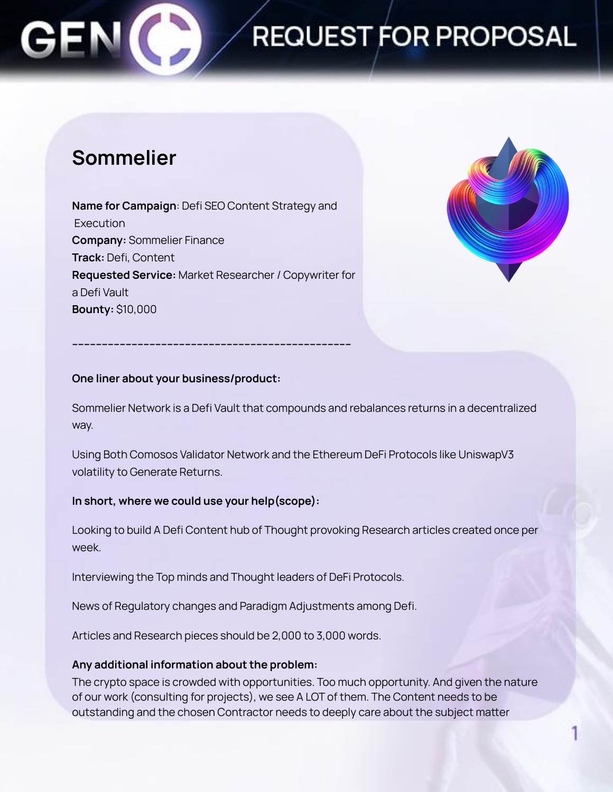## REQUEST FOR PROPOSAL

### **Sommelier**

**Name for Campaign**: Defi SEO Content Strategy and Execution **Company:** Sommelier Finance **Track:** Defi, Content **Requested Service:** Market Researcher / Copywriter for a Defi Vault **Bounty:** \$10,000

**----------------------------------------------------------------------------------------------**



#### **One liner about your business/product:**

Sommelier Network is a Defi Vault that compounds and rebalances returns in a decentralized way.

Using Both Comosos Validator Network and the Ethereum DeFi Protocols like UniswapV3 volatility to Generate Returns.

#### **In short, where we could use your help(scope):**

Looking to build A Defi Content hub of Thought provoking Research articles created once per week.

Interviewing the Top minds and Thought leaders of DeFi Protocols.

News of Regulatory changes and Paradigm Adjustments among Defi.

Articles and Research pieces should be 2,000 to 3,000 words.

#### **Any additional information about the problem:**

The crypto space is crowded with opportunities. Too much opportunity. And given the nature of our work (consulting for projects), we see A LOT of them. The Content needs to be outstanding and the chosen Contractor needs to deeply care about the subject matter